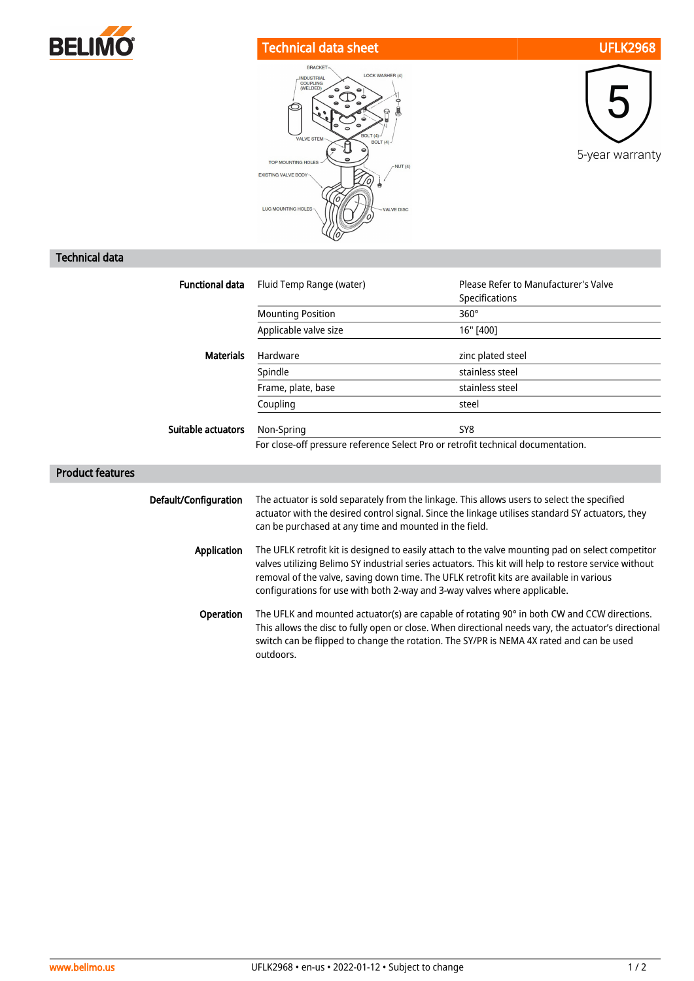

## Technical data sheet UFLK2968





## Technical data

| <b>Functional data</b>  | Fluid Temp Range (water)                                                                                                                                                                                                                                                                                                                                                           | Please Refer to Manufacturer's Valve<br>Specifications |
|-------------------------|------------------------------------------------------------------------------------------------------------------------------------------------------------------------------------------------------------------------------------------------------------------------------------------------------------------------------------------------------------------------------------|--------------------------------------------------------|
|                         | <b>Mounting Position</b>                                                                                                                                                                                                                                                                                                                                                           | $360^\circ$                                            |
|                         | Applicable valve size                                                                                                                                                                                                                                                                                                                                                              | 16" [400]                                              |
| <b>Materials</b>        | Hardware                                                                                                                                                                                                                                                                                                                                                                           | zinc plated steel                                      |
|                         | Spindle                                                                                                                                                                                                                                                                                                                                                                            | stainless steel                                        |
|                         | Frame, plate, base                                                                                                                                                                                                                                                                                                                                                                 | stainless steel                                        |
|                         | Coupling                                                                                                                                                                                                                                                                                                                                                                           | steel                                                  |
| Suitable actuators      | Non-Spring                                                                                                                                                                                                                                                                                                                                                                         | SY8                                                    |
|                         | For close-off pressure reference Select Pro or retrofit technical documentation.                                                                                                                                                                                                                                                                                                   |                                                        |
| <b>Product features</b> |                                                                                                                                                                                                                                                                                                                                                                                    |                                                        |
| Default/Configuration   | The actuator is sold separately from the linkage. This allows users to select the specified<br>actuator with the desired control signal. Since the linkage utilises standard SY actuators, they<br>can be purchased at any time and mounted in the field.                                                                                                                          |                                                        |
| Application             | The UFLK retrofit kit is designed to easily attach to the valve mounting pad on select competitor<br>valves utilizing Belimo SY industrial series actuators. This kit will help to restore service without<br>removal of the valve, saving down time. The UFLK retrofit kits are available in various<br>configurations for use with both 2-way and 3-way valves where applicable. |                                                        |
| Operation               | The UFLK and mounted actuator(s) are capable of rotating 90° in both CW and CCW directions.<br>This allows the disc to fully open or close. When directional needs vary, the actuator's directional<br>switch can be flipped to change the rotation. The SY/PR is NEMA 4X rated and can be used<br>outdoors.                                                                       |                                                        |